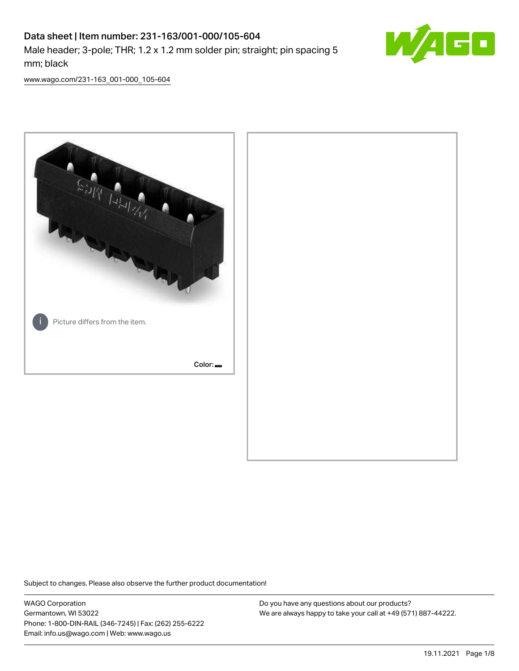# Data sheet | Item number: 231-163/001-000/105-604 Male header; 3-pole; THR; 1.2 x 1.2 mm solder pin; straight; pin spacing 5 mm; black



[www.wago.com/231-163\\_001-000\\_105-604](http://www.wago.com/231-163_001-000_105-604)



Subject to changes. Please also observe the further product documentation!

WAGO Corporation Germantown, WI 53022 Phone: 1-800-DIN-RAIL (346-7245) | Fax: (262) 255-6222 Email: info.us@wago.com | Web: www.wago.us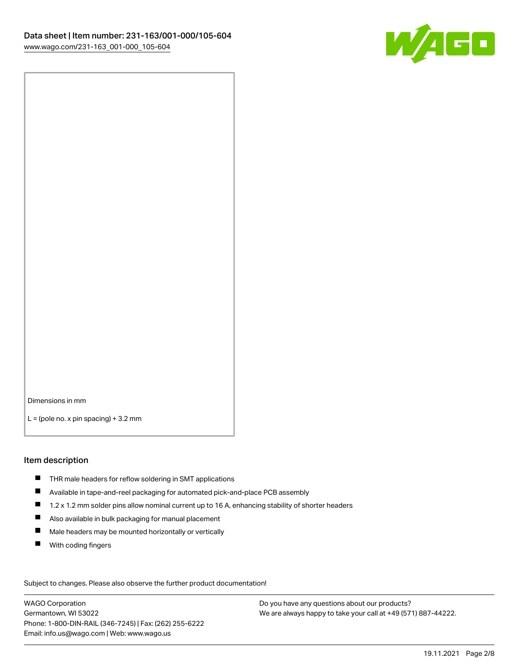

Dimensions in mm

 $L =$  (pole no. x pin spacing) + 3.2 mm

#### Item description

- THR male headers for reflow soldering in SMT applications
- Available in tape-and-reel packaging for automated pick-and-place PCB assembly
- $\blacksquare$ 1.2 x 1.2 mm solder pins allow nominal current up to 16 A, enhancing stability of shorter headers
- Also available in bulk packaging for manual placement
- $\blacksquare$ Male headers may be mounted horizontally or vertically
- $\blacksquare$ With coding fingers

Subject to changes. Please also observe the further product documentation! Data

WAGO Corporation Germantown, WI 53022 Phone: 1-800-DIN-RAIL (346-7245) | Fax: (262) 255-6222 Email: info.us@wago.com | Web: www.wago.us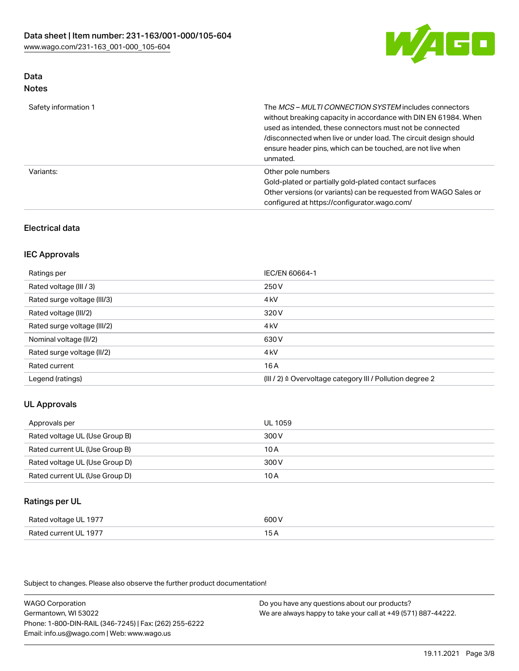

#### Data Notes

| Safety information 1 | The MCS-MULTI CONNECTION SYSTEM includes connectors<br>without breaking capacity in accordance with DIN EN 61984. When<br>used as intended, these connectors must not be connected<br>/disconnected when live or under load. The circuit design should<br>ensure header pins, which can be touched, are not live when<br>unmated. |
|----------------------|-----------------------------------------------------------------------------------------------------------------------------------------------------------------------------------------------------------------------------------------------------------------------------------------------------------------------------------|
| Variants:            | Other pole numbers<br>Gold-plated or partially gold-plated contact surfaces<br>Other versions (or variants) can be requested from WAGO Sales or<br>configured at https://configurator.wago.com/                                                                                                                                   |

# Electrical data

# IEC Approvals

| Ratings per                 | IEC/EN 60664-1                                                        |
|-----------------------------|-----------------------------------------------------------------------|
| Rated voltage (III / 3)     | 250 V                                                                 |
| Rated surge voltage (III/3) | 4 <sub>k</sub> V                                                      |
| Rated voltage (III/2)       | 320 V                                                                 |
| Rated surge voltage (III/2) | 4 <sub>k</sub> V                                                      |
| Nominal voltage (II/2)      | 630 V                                                                 |
| Rated surge voltage (II/2)  | 4 <sub>k</sub> V                                                      |
| Rated current               | 16A                                                                   |
| Legend (ratings)            | $(III / 2)$ $\triangle$ Overvoltage category III / Pollution degree 2 |

#### UL Approvals

| Approvals per                  | UL 1059 |
|--------------------------------|---------|
| Rated voltage UL (Use Group B) | 300 V   |
| Rated current UL (Use Group B) | 10 A    |
| Rated voltage UL (Use Group D) | 300 V   |
| Rated current UL (Use Group D) | 10 A    |

# Ratings per UL

| Rated voltage UL 1977            | ור                                        |
|----------------------------------|-------------------------------------------|
| Lourrent III, 1977<br>Rated<br>. | $\sim$ $\sim$ $\sim$ $\sim$ $\sim$ $\sim$ |

Subject to changes. Please also observe the further product documentation!

WAGO Corporation Germantown, WI 53022 Phone: 1-800-DIN-RAIL (346-7245) | Fax: (262) 255-6222 Email: info.us@wago.com | Web: www.wago.us Do you have any questions about our products? We are always happy to take your call at +49 (571) 887-44222.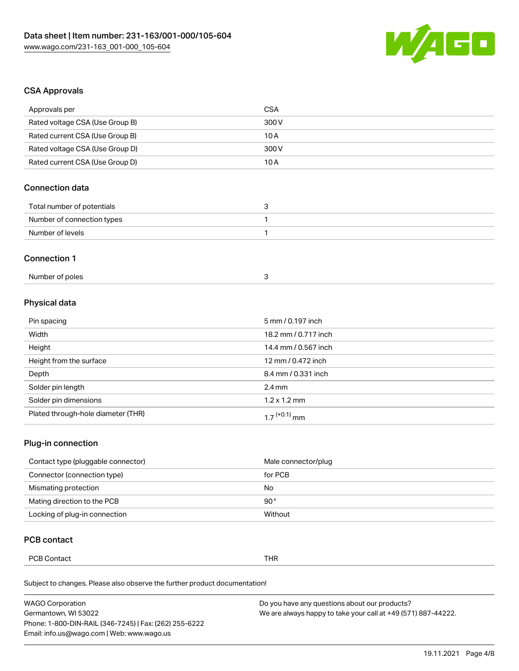

# CSA Approvals

| Approvals per                   | <b>CSA</b> |
|---------------------------------|------------|
| Rated voltage CSA (Use Group B) | 300 V      |
| Rated current CSA (Use Group B) | 10 A       |
| Rated voltage CSA (Use Group D) | 300 V      |
| Rated current CSA (Use Group D) | 10 A       |
|                                 |            |

# Connection data

| Total number of potentials |  |
|----------------------------|--|
| Number of connection types |  |
| Number of levels           |  |

#### Connection 1

| Number of poles |  |
|-----------------|--|
|-----------------|--|

# Physical data

| Pin spacing                        | 5 mm / 0.197 inch        |
|------------------------------------|--------------------------|
| Width                              | 18.2 mm / 0.717 inch     |
| Height                             | 14.4 mm / 0.567 inch     |
| Height from the surface            | 12 mm / 0.472 inch       |
| Depth                              | 8.4 mm / 0.331 inch      |
| Solder pin length                  | $2.4 \text{ mm}$         |
| Solder pin dimensions              | $1.2 \times 1.2$ mm      |
| Plated through-hole diameter (THR) | 1.7 <sup>(+0.1)</sup> mm |

# Plug-in connection

| Contact type (pluggable connector) | Male connector/plug |
|------------------------------------|---------------------|
| Connector (connection type)        | for PCB             |
| Mismating protection               | No                  |
| Mating direction to the PCB        | 90°                 |
| Locking of plug-in connection      | Without             |

# PCB contact

| PCB <sub>C</sub><br>thr<br>Contact<br>. |
|-----------------------------------------|
|-----------------------------------------|

Subject to changes. Please also observe the further product documentation!

| <b>WAGO Corporation</b>                                | Do you have any questions about our products?                 |
|--------------------------------------------------------|---------------------------------------------------------------|
| Germantown, WI 53022                                   | We are always happy to take your call at +49 (571) 887-44222. |
| Phone: 1-800-DIN-RAIL (346-7245)   Fax: (262) 255-6222 |                                                               |
| Email: info.us@wago.com   Web: www.wago.us             |                                                               |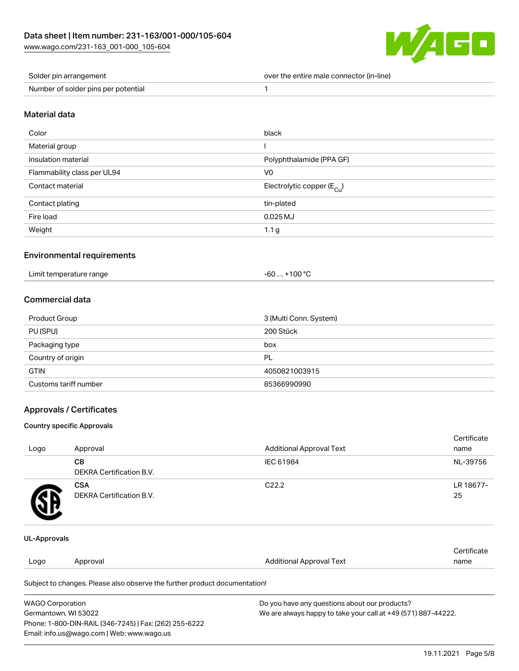

| Solder pin arrangement              | over the entire male connector (in-line) |
|-------------------------------------|------------------------------------------|
| Number of solder pins per potential |                                          |

## Material data

| Color                       | black                                  |
|-----------------------------|----------------------------------------|
| Material group              |                                        |
| Insulation material         | Polyphthalamide (PPA GF)               |
| Flammability class per UL94 | V <sub>0</sub>                         |
| Contact material            | Electrolytic copper (E <sub>Cu</sub> ) |
| Contact plating             | tin-plated                             |
| Fire load                   | $0.025$ MJ                             |
| Weight                      | 1.1 <sub>g</sub>                       |

#### Environmental requirements

| Limit temperature range<br>. | $. +100 °C$<br>-60 |
|------------------------------|--------------------|
|------------------------------|--------------------|

# Commercial data

| Product Group         | 3 (Multi Conn. System) |
|-----------------------|------------------------|
| PU (SPU)              | 200 Stück              |
| Packaging type        | box                    |
| Country of origin     | PL                     |
| <b>GTIN</b>           | 4050821003915          |
| Customs tariff number | 85366990990            |

# Approvals / Certificates

#### Country specific Approvals

|                     |                                               |                                 | Certificate     |
|---------------------|-----------------------------------------------|---------------------------------|-----------------|
| Logo                | Approval                                      | <b>Additional Approval Text</b> | name            |
|                     | <b>CB</b><br><b>DEKRA Certification B.V.</b>  | IEC 61984                       | NL-39756        |
| 5 R                 | <b>CSA</b><br><b>DEKRA Certification B.V.</b> | C <sub>22.2</sub>               | LR 18677-<br>25 |
| <b>UL-Approvals</b> |                                               |                                 |                 |

|      |          |                          | ∩ertificate |
|------|----------|--------------------------|-------------|
| Logo | Approval | Additional Approval Text | name        |
|      |          |                          |             |

Subject to changes. Please also observe the further product documentation!

| <b>WAGO Corporation</b>                                | Do you have any questions about our products?                 |
|--------------------------------------------------------|---------------------------------------------------------------|
| Germantown, WI 53022                                   | We are always happy to take your call at +49 (571) 887-44222. |
| Phone: 1-800-DIN-RAIL (346-7245)   Fax: (262) 255-6222 |                                                               |
| Email: info.us@wago.com   Web: www.wago.us             |                                                               |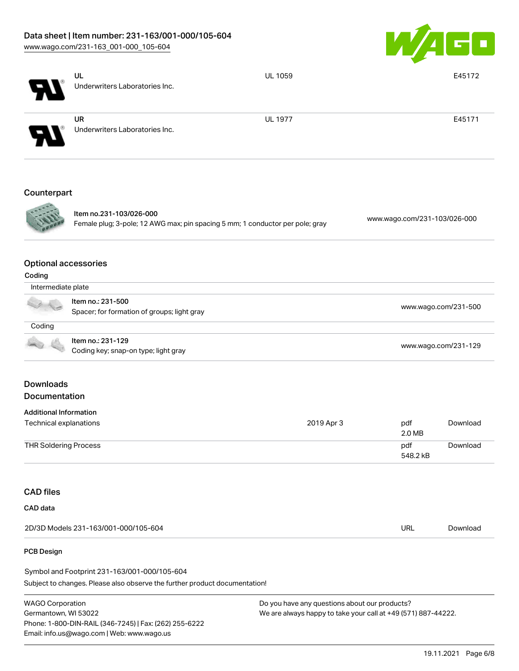# Data sheet | Item number: 231-163/001-000/105-604

[www.wago.com/231-163\\_001-000\\_105-604](http://www.wago.com/231-163_001-000_105-604)



|                                       | UL<br>Underwriters Laboratories Inc.                                                                     | <b>UL 1059</b> |                              | E45172               |  |
|---------------------------------------|----------------------------------------------------------------------------------------------------------|----------------|------------------------------|----------------------|--|
|                                       | <b>UR</b><br>Underwriters Laboratories Inc.                                                              | <b>UL 1977</b> |                              | E45171               |  |
| Counterpart                           |                                                                                                          |                |                              |                      |  |
|                                       | Item no.231-103/026-000<br>Female plug; 3-pole; 12 AWG max; pin spacing 5 mm; 1 conductor per pole; gray |                | www.wago.com/231-103/026-000 |                      |  |
| <b>Optional accessories</b><br>Coding |                                                                                                          |                |                              |                      |  |
| Intermediate plate                    |                                                                                                          |                |                              |                      |  |
|                                       | Item no.: 231-500<br>Spacer; for formation of groups; light gray                                         |                | www.wago.com/231-500         |                      |  |
| Coding                                |                                                                                                          |                |                              |                      |  |
|                                       | Item no.: 231-129<br>Coding key; snap-on type; light gray                                                |                |                              | www.wago.com/231-129 |  |
| <b>Downloads</b><br>Documentation     |                                                                                                          |                |                              |                      |  |
| <b>Additional Information</b>         |                                                                                                          |                |                              |                      |  |
| Technical explanations                |                                                                                                          | 2019 Apr 3     | pdf<br>2.0 MB                | Download             |  |
| <b>THR Soldering Process</b>          |                                                                                                          |                | pdf<br>548.2 kB              | Download             |  |
| <b>CAD files</b>                      |                                                                                                          |                |                              |                      |  |
| CAD data                              |                                                                                                          |                |                              |                      |  |
|                                       | 2D/3D Models 231-163/001-000/105-604                                                                     |                | <b>URL</b>                   | Download             |  |
| PCB Design                            |                                                                                                          |                |                              |                      |  |

Subject to changes. Please also observe the further product documentation! Symbol and Footprint 231-163/001-000/105-604

WAGO Corporation Germantown, WI 53022 Phone: 1-800-DIN-RAIL (346-7245) | Fax: (262) 255-6222 Email: info.us@wago.com | Web: www.wago.us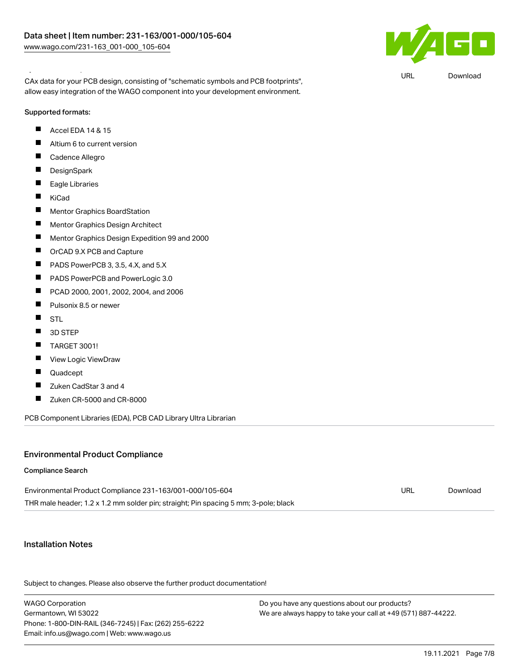Symbol and Footprint 231-163/001-000/105-604



URL [Download](https://www.wago.com/global/d/UltraLibrarian_URLS_231-163_001-000_105-604)

CAx data for your PCB design, consisting of "schematic symbols and PCB footprints", allow easy integration of the WAGO component into your development environment.

# Supported formats:

- $\blacksquare$ Accel EDA 14 & 15
- $\blacksquare$ Altium 6 to current version
- $\blacksquare$ Cadence Allegro
- $\blacksquare$ **DesignSpark**
- $\blacksquare$ Eagle Libraries
- $\blacksquare$ KiCad
- $\blacksquare$ Mentor Graphics BoardStation
- $\blacksquare$ Mentor Graphics Design Architect
- $\blacksquare$ Mentor Graphics Design Expedition 99 and 2000
- $\blacksquare$ OrCAD 9.X PCB and Capture
- $\blacksquare$ PADS PowerPCB 3, 3.5, 4.X, and 5.X
- $\blacksquare$ PADS PowerPCB and PowerLogic 3.0
- $\blacksquare$ PCAD 2000, 2001, 2002, 2004, and 2006
- $\blacksquare$ Pulsonix 8.5 or newer
- $\blacksquare$ **STL**
- $\blacksquare$ 3D STEP
- $\blacksquare$ TARGET 3001!
- $\blacksquare$ View Logic ViewDraw
- $\blacksquare$ Quadcept
- $\blacksquare$ Zuken CadStar 3 and 4
- $\blacksquare$ Zuken CR-5000 and CR-8000

PCB Component Libraries (EDA), PCB CAD Library Ultra Librarian

# Environmental Product Compliance

#### Compliance Search

| Environmental Product Compliance 231-163/001-000/105-604                            | URL | Download |
|-------------------------------------------------------------------------------------|-----|----------|
| THR male header; 1.2 x 1.2 mm solder pin; straight; Pin spacing 5 mm; 3-pole; black |     |          |

### Installation Notes

Subject to changes. Please also observe the further product documentation!

WAGO Corporation Germantown, WI 53022 Phone: 1-800-DIN-RAIL (346-7245) | Fax: (262) 255-6222 Email: info.us@wago.com | Web: www.wago.us